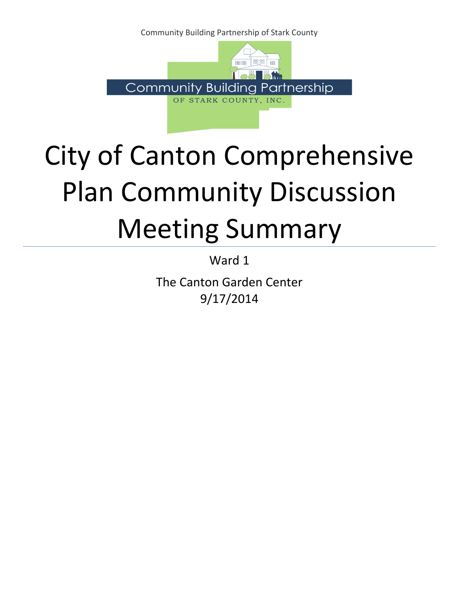Community Building Partnership of Stark County



# City of Canton Comprehensive Plan Community Discussion Meeting Summary

Ward 1

The Canton Garden Center 9/17/2014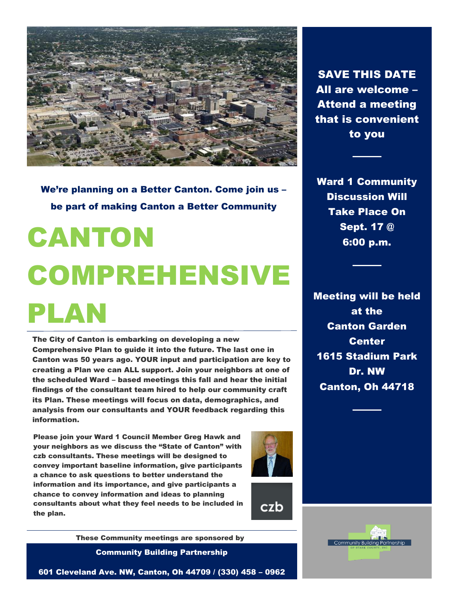

We're planning on a Better Canton. Come join us – be part of making Canton a Better Community

# CANTON COMPREHENSIVE PLAN

The City of Canton is embarking on developing a new Comprehensive Plan to guide it into the future. The last one in Canton was 50 years ago. YOUR input and participation are key to creating a Plan we can ALL support. Join your neighbors at one of the scheduled Ward – based meetings this fall and hear the initial findings of the consultant team hired to help our community craft its Plan. These meetings will focus on data, demographics, and analysis from our consultants and YOUR feedback regarding this information.

Please join your Ward 1 Council Member Greg Hawk and your neighbors as we discuss the "State of Canton" with czb consultants. These meetings will be designed to convey important baseline information, give participants a chance to ask questions to better understand the information and its importance, and give participants a chance to convey information and ideas to planning consultants about what they feel needs to be included in the plan.



These Community meetings are sponsored by

Community Building Partnership

SAVE THIS DATE All are welcome – Attend a meeting that is convenient to you

Ward 1 Community Discussion Will Take Place On Sept. 17 @ 6:00 p.m.

Meeting will be held at the Canton Garden **Center** 1615 Stadium Park Dr. NW Canton, Oh 44718

Community Building Partnership

601 Cleveland Ave. NW, Canton, Oh 44709 / (330) 458 – 0962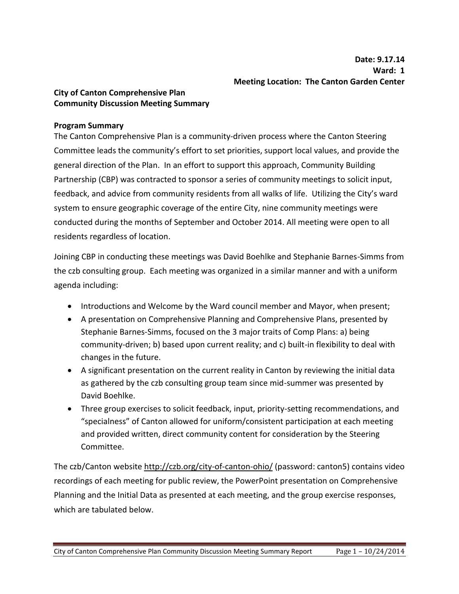## **City of Canton Comprehensive Plan Community Discussion Meeting Summary**

### **Program Summary**

The Canton Comprehensive Plan is a community-driven process where the Canton Steering Committee leads the community's effort to set priorities, support local values, and provide the general direction of the Plan. In an effort to support this approach, Community Building Partnership (CBP) was contracted to sponsor a series of community meetings to solicit input, feedback, and advice from community residents from all walks of life. Utilizing the City's ward system to ensure geographic coverage of the entire City, nine community meetings were conducted during the months of September and October 2014. All meeting were open to all residents regardless of location.

Joining CBP in conducting these meetings was David Boehlke and Stephanie Barnes-Simms from the czb consulting group. Each meeting was organized in a similar manner and with a uniform agenda including:

- Introductions and Welcome by the Ward council member and Mayor, when present;
- A presentation on Comprehensive Planning and Comprehensive Plans, presented by Stephanie Barnes-Simms, focused on the 3 major traits of Comp Plans: a) being community-driven; b) based upon current reality; and c) built-in flexibility to deal with changes in the future.
- A significant presentation on the current reality in Canton by reviewing the initial data as gathered by the czb consulting group team since mid-summer was presented by David Boehlke.
- Three group exercises to solicit feedback, input, priority-setting recommendations, and "specialness" of Canton allowed for uniform/consistent participation at each meeting and provided written, direct community content for consideration by the Steering Committee.

The czb/Canton website http://czb.org/city-of-canton-ohio/ (password: canton5) contains video recordings of each meeting for public review, the PowerPoint presentation on Comprehensive Planning and the Initial Data as presented at each meeting, and the group exercise responses, which are tabulated below.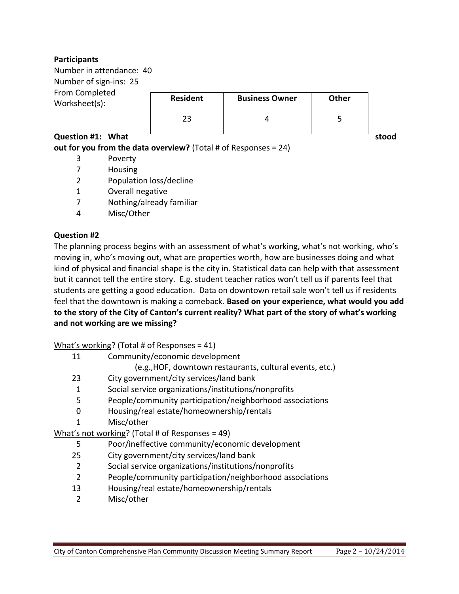### **Participants**

Number in attendance: 40 Number of sign-ins: 25 From Completed Worksheet(s):

| <b>Resident</b> | <b>Business Owner</b> | <b>Other</b> |
|-----------------|-----------------------|--------------|
|                 |                       |              |

#### **Question #1:** What  $\overline{\qquad \qquad \qquad \qquad \qquad \qquad \qquad \qquad \qquad \qquad}$  stood

**out for you from the data overview?** (Total # of Responses = 24)

- 3 Poverty
- 7 Housing
- 2 Population loss/decline
- 1 Overall negative
- 7 Nothing/already familiar
- 4 Misc/Other

#### **Question #2**

The planning process begins with an assessment of what's working, what's not working, who's moving in, who's moving out, what are properties worth, how are businesses doing and what kind of physical and financial shape is the city in. Statistical data can help with that assessment but it cannot tell the entire story. E.g. student teacher ratios won't tell us if parents feel that students are getting a good education. Data on downtown retail sale won't tell us if residents feel that the downtown is making a comeback. **Based on your experience, what would you add to the story of the City of Canton's current reality? What part of the story of what's working and not working are we missing?** 

What's working? (Total # of Responses = 41)

- 11 Community/economic development
	- (e.g.,HOF, downtown restaurants, cultural events, etc.)
- 23 City government/city services/land bank
- 1 Social service organizations/institutions/nonprofits
- 5 People/community participation/neighborhood associations
- 0 Housing/real estate/homeownership/rentals
- 1 Misc/other

What's not working? (Total # of Responses = 49)

- 5 Poor/ineffective community/economic development
- 25 City government/city services/land bank
- 2 Social service organizations/institutions/nonprofits
- 2 People/community participation/neighborhood associations
- 13 Housing/real estate/homeownership/rentals
- 2 Misc/other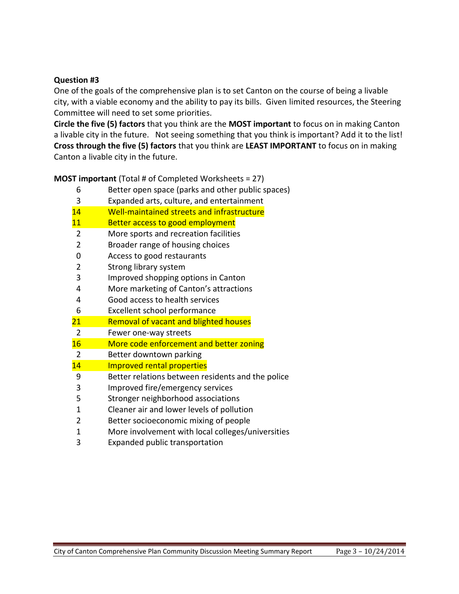## **Question #3**

One of the goals of the comprehensive plan is to set Canton on the course of being a livable city, with a viable economy and the ability to pay its bills. Given limited resources, the Steering Committee will need to set some priorities.

**Circle the five (5) factors** that you think are the **MOST important** to focus on in making Canton a livable city in the future. Not seeing something that you think is important? Add it to the list! **Cross through the five (5) factors** that you think are **LEAST IMPORTANT** to focus on in making Canton a livable city in the future.

**MOST important** (Total # of Completed Worksheets = 27)

| 6               | Better open space (parks and other public spaces) |
|-----------------|---------------------------------------------------|
| 3               | Expanded arts, culture, and entertainment         |
| 14              | Well-maintained streets and infrastructure        |
| 11              | Better access to good employment                  |
| 2               | More sports and recreation facilities             |
| $\overline{2}$  | Broader range of housing choices                  |
| 0               | Access to good restaurants                        |
| $\overline{2}$  | Strong library system                             |
| 3               | Improved shopping options in Canton               |
| 4               | More marketing of Canton's attractions            |
| 4               | Good access to health services                    |
| 6               | Excellent school performance                      |
| $\overline{21}$ | <b>Removal of vacant and blighted houses</b>      |
| $\overline{2}$  | Fewer one-way streets                             |
| 16              | More code enforcement and better zoning           |
| $\overline{2}$  | Better downtown parking                           |
| 14              | <b>Improved rental properties</b>                 |
| 9               | Better relations between residents and the police |
| 3               | Improved fire/emergency services                  |
| 5               | Stronger neighborhood associations                |
| $\mathbf 1$     | Cleaner air and lower levels of pollution         |
| 2               | Better socioeconomic mixing of people             |
| $\overline{1}$  | More involvement with local colleges/universities |
| 3               | Expanded public transportation                    |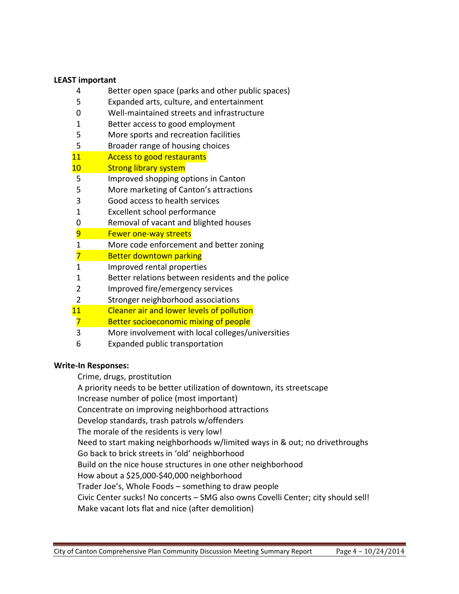#### **LEAST important**

- 4 Better open space (parks and other public spaces)
- 5 Expanded arts, culture, and entertainment
- 0 Well-maintained streets and infrastructure
- 1 Better access to good employment
- 5 More sports and recreation facilities
- 5 Broader range of housing choices
- 11 Access to good restaurants
- 10 Strong library system
- 5 Improved shopping options in Canton
- 5 More marketing of Canton's attractions
- 3 Good access to health services
- 1 Excellent school performance
- 0 Removal of vacant and blighted houses
- 9 Fewer one-way streets
- 1 More code enforcement and better zoning
- 7 Better downtown parking
- 1 Improved rental properties
- 1 Better relations between residents and the police
- 2 Improved fire/emergency services
- 2 Stronger neighborhood associations
- 11 Cleaner air and lower levels of pollution
- 7 Better socioeconomic mixing of people
- 3 More involvement with local colleges/universities
- 6 Expanded public transportation

#### **Write-In Responses:**

Crime, drugs, prostitution

A priority needs to be better utilization of downtown, its streetscape

Increase number of police (most important)

Concentrate on improving neighborhood attractions

Develop standards, trash patrols w/offenders

The morale of the residents is very low!

Need to start making neighborhoods w/limited ways in & out; no drivethroughs

Go back to brick streets in 'old' neighborhood

Build on the nice house structures in one other neighborhood

How about a \$25,000-\$40,000 neighborhood

Trader Joe's, Whole Foods – something to draw people

Civic Center sucks! No concerts – SMG also owns Covelli Center; city should sell!

Make vacant lots flat and nice (after demolition)